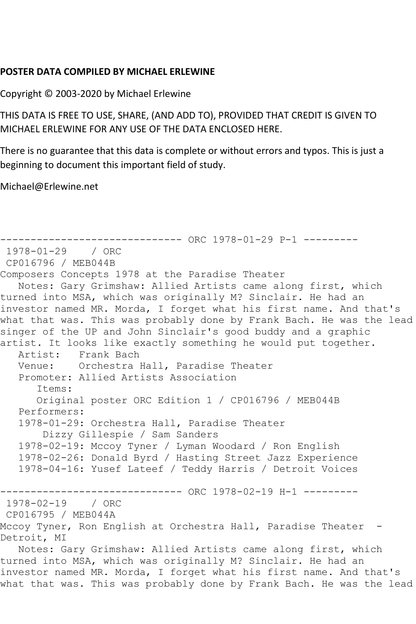## **POSTER DATA COMPILED BY MICHAEL ERLEWINE**

Copyright © 2003-2020 by Michael Erlewine

THIS DATA IS FREE TO USE, SHARE, (AND ADD TO), PROVIDED THAT CREDIT IS GIVEN TO MICHAEL ERLEWINE FOR ANY USE OF THE DATA ENCLOSED HERE.

There is no guarantee that this data is complete or without errors and typos. This is just a beginning to document this important field of study.

Michael@Erlewine.net

------------------------------ ORC 1978-01-29 P-1 --------- 1978-01-29 / ORC CP016796 / MEB044B Composers Concepts 1978 at the Paradise Theater Notes: Gary Grimshaw: Allied Artists came along first, which turned into MSA, which was originally M? Sinclair. He had an investor named MR. Morda, I forget what his first name. And that's what that was. This was probably done by Frank Bach. He was the lead singer of the UP and John Sinclair's good buddy and a graphic artist. It looks like exactly something he would put together. Artist: Frank Bach Venue: Orchestra Hall, Paradise Theater Promoter: Allied Artists Association Items: Original poster ORC Edition 1 / CP016796 / MEB044B Performers: 1978-01-29: Orchestra Hall, Paradise Theater Dizzy Gillespie / Sam Sanders 1978-02-19: Mccoy Tyner / Lyman Woodard / Ron English 1978-02-26: Donald Byrd / Hasting Street Jazz Experience 1978-04-16: Yusef Lateef / Teddy Harris / Detroit Voices ------------------------------ ORC 1978-02-19 H-1 --------- 1978-02-19 / ORC CP016795 / MEB044A Mccoy Tyner, Ron English at Orchestra Hall, Paradise Theater -Detroit, MI Notes: Gary Grimshaw: Allied Artists came along first, which turned into MSA, which was originally M? Sinclair. He had an investor named MR. Morda, I forget what his first name. And that's what that was. This was probably done by Frank Bach. He was the lead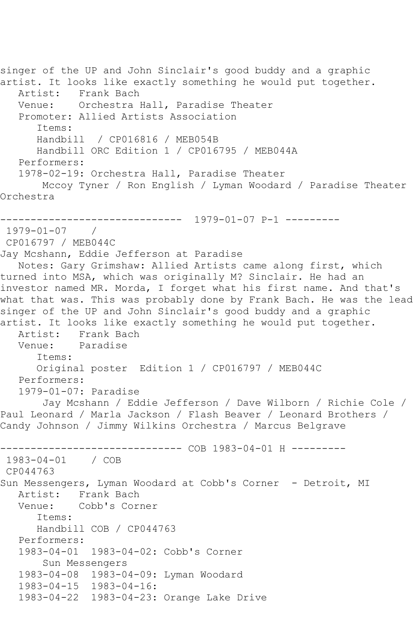singer of the UP and John Sinclair's good buddy and a graphic artist. It looks like exactly something he would put together. Artist: Frank Bach Venue: Orchestra Hall, Paradise Theater Promoter: Allied Artists Association Items: Handbill / CP016816 / MEB054B Handbill ORC Edition 1 / CP016795 / MEB044A Performers: 1978-02-19: Orchestra Hall, Paradise Theater Mccoy Tyner / Ron English / Lyman Woodard / Paradise Theater Orchestra ------------------------------ 1979-01-07 P-1 --------- 1979-01-07 / CP016797 / MEB044C Jay Mcshann, Eddie Jefferson at Paradise Notes: Gary Grimshaw: Allied Artists came along first, which turned into MSA, which was originally M? Sinclair. He had an investor named MR. Morda, I forget what his first name. And that's what that was. This was probably done by Frank Bach. He was the lead singer of the UP and John Sinclair's good buddy and a graphic artist. It looks like exactly something he would put together. Artist: Frank Bach<br>Venue: Paradise Paradise Items: Original poster Edition 1 / CP016797 / MEB044C Performers: 1979-01-07: Paradise Jay Mcshann / Eddie Jefferson / Dave Wilborn / Richie Cole / Paul Leonard / Marla Jackson / Flash Beaver / Leonard Brothers / Candy Johnson / Jimmy Wilkins Orchestra / Marcus Belgrave ------------------------------ COB 1983-04-01 H --------- 1983-04-01 / COB CP044763 Sun Messengers, Lyman Woodard at Cobb's Corner - Detroit, MI Artist: Frank Bach Venue: Cobb's Corner Items: Handbill COB / CP044763 Performers: 1983-04-01 1983-04-02: Cobb's Corner Sun Messengers 1983-04-08 1983-04-09: Lyman Woodard 1983-04-15 1983-04-16: 1983-04-22 1983-04-23: Orange Lake Drive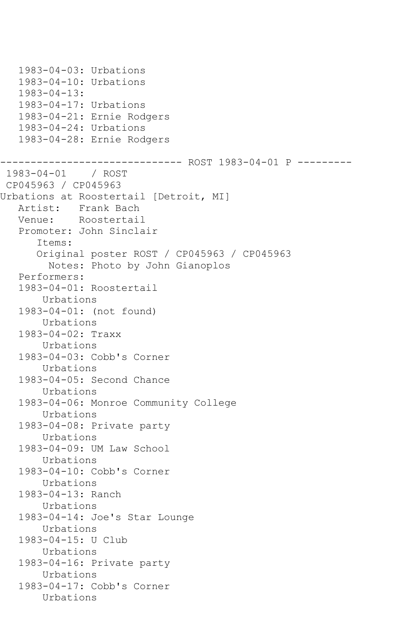1983-04-03: Urbations 1983-04-10: Urbations 1983-04-13: 1983-04-17: Urbations 1983-04-21: Ernie Rodgers 1983-04-24: Urbations 1983-04-28: Ernie Rodgers ------------------------------ ROST 1983-04-01 P --------- 1983-04-01 / ROST CP045963 / CP045963 Urbations at Roostertail [Detroit, MI] Artist: Frank Bach Venue: Roostertail Promoter: John Sinclair Items: Original poster ROST / CP045963 / CP045963 Notes: Photo by John Gianoplos Performers: 1983-04-01: Roostertail Urbations 1983-04-01: (not found) Urbations 1983-04-02: Traxx Urbations 1983-04-03: Cobb's Corner Urbations 1983-04-05: Second Chance Urbations 1983-04-06: Monroe Community College Urbations 1983-04-08: Private party Urbations 1983-04-09: UM Law School Urbations 1983-04-10: Cobb's Corner Urbations 1983-04-13: Ranch Urbations 1983-04-14: Joe's Star Lounge Urbations 1983-04-15: U Club Urbations 1983-04-16: Private party Urbations 1983-04-17: Cobb's Corner Urbations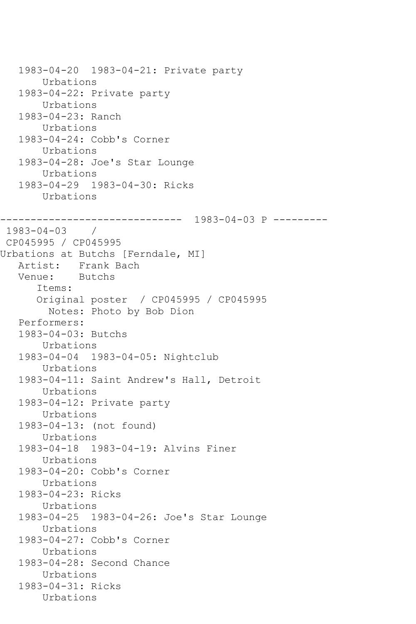```
 1983-04-20 1983-04-21: Private party
        Urbations
    1983-04-22: Private party
        Urbations
    1983-04-23: Ranch
        Urbations
   1983-04-24: Cobb's Corner
        Urbations
    1983-04-28: Joe's Star Lounge
        Urbations
    1983-04-29 1983-04-30: Ricks
        Urbations
------------------------------ 1983-04-03 P ---------
1983-04-03 / 
CP045995 / CP045995
Urbations at Butchs [Ferndale, MI]
   Artist: Frank Bach
   Venue: Butchs
       Items:
       Original poster / CP045995 / CP045995
         Notes: Photo by Bob Dion
    Performers:
    1983-04-03: Butchs
        Urbations
    1983-04-04 1983-04-05: Nightclub
        Urbations
    1983-04-11: Saint Andrew's Hall, Detroit
        Urbations
    1983-04-12: Private party
        Urbations
    1983-04-13: (not found)
        Urbations
    1983-04-18 1983-04-19: Alvins Finer
        Urbations
    1983-04-20: Cobb's Corner
        Urbations
    1983-04-23: Ricks
        Urbations
    1983-04-25 1983-04-26: Joe's Star Lounge
        Urbations
    1983-04-27: Cobb's Corner
        Urbations
    1983-04-28: Second Chance
        Urbations
    1983-04-31: Ricks
        Urbations
```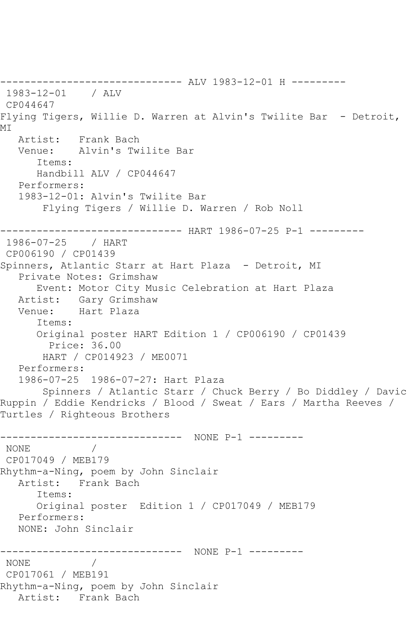------------------------------ ALV 1983-12-01 H --------- 1983-12-01 / ALV CP044647 Flying Tigers, Willie D. Warren at Alvin's Twilite Bar - Detroit, **MT**  Artist: Frank Bach Venue: Alvin's Twilite Bar Items: Handbill ALV / CP044647 Performers: 1983-12-01: Alvin's Twilite Bar Flying Tigers / Willie D. Warren / Rob Noll ------------------------------ HART 1986-07-25 P-1 --------- 1986-07-25 / HART CP006190 / CP01439 Spinners, Atlantic Starr at Hart Plaza - Detroit, MI Private Notes: Grimshaw Event: Motor City Music Celebration at Hart Plaza Artist: Gary Grimshaw Venue: Hart Plaza Items: Original poster HART Edition 1 / CP006190 / CP01439 Price: 36.00 HART / CP014923 / ME0071 Performers: 1986-07-25 1986-07-27: Hart Plaza Spinners / Atlantic Starr / Chuck Berry / Bo Diddley / Davic Ruppin / Eddie Kendricks / Blood / Sweat / Ears / Martha Reeves / Turtles / Righteous Brothers ------------------------------ NONE P-1 --------- NONE / CP017049 / MEB179 Rhythm-a-Ning, poem by John Sinclair Artist: Frank Bach Items: Original poster Edition 1 / CP017049 / MEB179 Performers: NONE: John Sinclair ------------------------------ NONE P-1 --------- NONE CP017061 / MEB191 Rhythm-a-Ning, poem by John Sinclair Artist: Frank Bach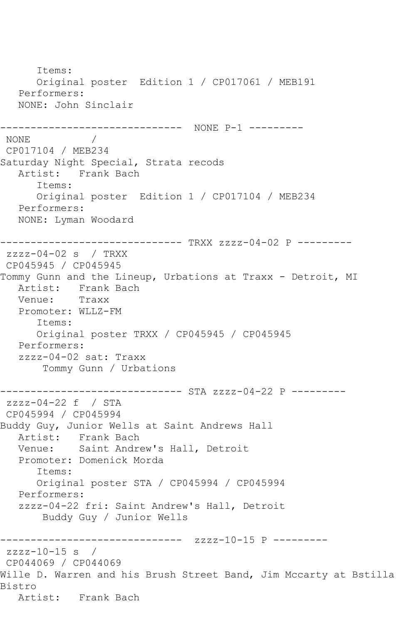Items: Original poster Edition 1 / CP017061 / MEB191 Performers: NONE: John Sinclair ------------------------------ NONE P-1 --------- NONE / CP017104 / MEB234 Saturday Night Special, Strata recods Artist: Frank Bach Items: Original poster Edition 1 / CP017104 / MEB234 Performers: NONE: Lyman Woodard ------------------------------ TRXX zzzz-04-02 P -------- zzzz-04-02 s / TRXX CP045945 / CP045945 Tommy Gunn and the Lineup, Urbations at Traxx - Detroit, MI Artist: Frank Bach<br>Venue: Traxx Venue: Promoter: WLLZ-FM Items: Original poster TRXX / CP045945 / CP045945 Performers: zzzz-04-02 sat: Traxx Tommy Gunn / Urbations ------------------------------ STA zzzz-04-22 P -------- zzzz-04-22 f / STA CP045994 / CP045994 Buddy Guy, Junior Wells at Saint Andrews Hall Artist: Frank Bach<br>Venue: Saint Andre Saint Andrew's Hall, Detroit Promoter: Domenick Morda Items: Original poster STA / CP045994 / CP045994 Performers: zzzz-04-22 fri: Saint Andrew's Hall, Detroit Buddy Guy / Junior Wells ------------------------------ zzzz-10-15 P -------- zzzz-10-15 s / CP044069 / CP044069 Wille D. Warren and his Brush Street Band, Jim Mccarty at Bstilla Bistro Artist: Frank Bach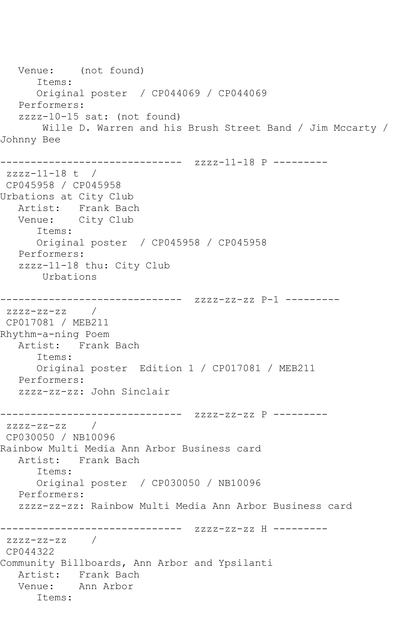Venue: (not found) Items: Original poster / CP044069 / CP044069 Performers: zzzz-10-15 sat: (not found) Wille D. Warren and his Brush Street Band / Jim Mccarty / Johnny Bee ------------------------------ zzzz-11-18 P -------- zzzz-11-18 t / CP045958 / CP045958 Urbations at City Club Artist: Frank Bach Venue: City Club Items: Original poster / CP045958 / CP045958 Performers: zzzz-11-18 thu: City Club Urbations ------------------------------ zzzz-zz-zz P-1 -------- zzzz-zz-zz / CP017081 / MEB211 Rhythm-a-ning Poem Artist: Frank Bach Items: Original poster Edition 1 / CP017081 / MEB211 Performers: zzzz-zz-zz: John Sinclair ------------------------------ zzzz-zz-zz P -------- zzzz-zz-zz / CP030050 / NB10096 Rainbow Multi Media Ann Arbor Business card Artist: Frank Bach Items: Original poster / CP030050 / NB10096 Performers: zzzz-zz-zz: Rainbow Multi Media Ann Arbor Business card ------------------------------ zzzz-zz-zz H -------- zzzz-zz-zz / CP044322 Community Billboards, Ann Arbor and Ypsilanti Artist: Frank Bach Venue: Ann Arbor Items: